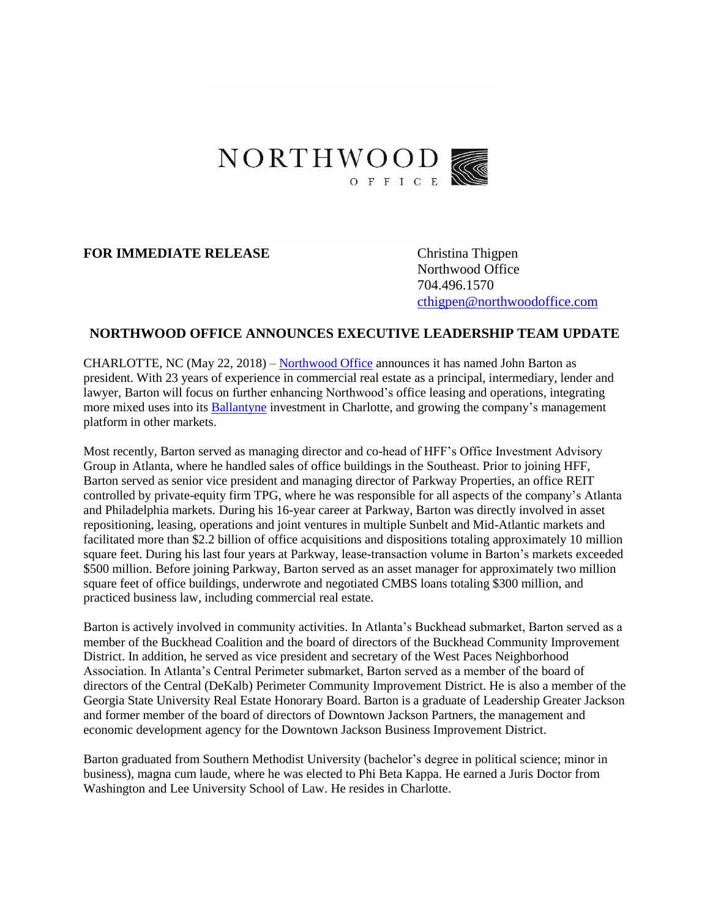

## **FOR IMMEDIATE RELEASE** Christina Thigpen

Northwood Office 704.496.1570 [cthigpen@northwoodoffice.com](mailto:cthigpen@northwoodoffice.com)

## **NORTHWOOD OFFICE ANNOUNCES EXECUTIVE LEADERSHIP TEAM UPDATE**

CHARLOTTE, NC (May 22, 2018) – [Northwood Office](http://www.northwoodoffice.com/) announces it has named John Barton as president. With 23 years of experience in commercial real estate as a principal, intermediary, lender and lawyer, Barton will focus on further enhancing Northwood's office leasing and operations, integrating more mixed uses into its [Ballantyne](http://www.ballantynecorporate.com/) investment in Charlotte, and growing the company's management platform in other markets.

Most recently, Barton served as managing director and co-head of HFF's Office Investment Advisory Group in Atlanta, where he handled sales of office buildings in the Southeast. Prior to joining HFF, Barton served as senior vice president and managing director of Parkway Properties, an office REIT controlled by private-equity firm TPG, where he was responsible for all aspects of the company's Atlanta and Philadelphia markets. During his 16-year career at Parkway, Barton was directly involved in asset repositioning, leasing, operations and joint ventures in multiple Sunbelt and Mid-Atlantic markets and facilitated more than \$2.2 billion of office acquisitions and dispositions totaling approximately 10 million square feet. During his last four years at Parkway, lease-transaction volume in Barton's markets exceeded \$500 million. Before joining Parkway, Barton served as an asset manager for approximately two million square feet of office buildings, underwrote and negotiated CMBS loans totaling \$300 million, and practiced business law, including commercial real estate.

Barton is actively involved in community activities. In Atlanta's Buckhead submarket, Barton served as a member of the Buckhead Coalition and the board of directors of the Buckhead Community Improvement District. In addition, he served as vice president and secretary of the West Paces Neighborhood Association. In Atlanta's Central Perimeter submarket, Barton served as a member of the board of directors of the Central (DeKalb) Perimeter Community Improvement District. He is also a member of the Georgia State University Real Estate Honorary Board. Barton is a graduate of Leadership Greater Jackson and former member of the board of directors of Downtown Jackson Partners, the management and economic development agency for the Downtown Jackson Business Improvement District.

Barton graduated from Southern Methodist University (bachelor's degree in political science; minor in business), magna cum laude, where he was elected to Phi Beta Kappa. He earned a Juris Doctor from Washington and Lee University School of Law. He resides in Charlotte.